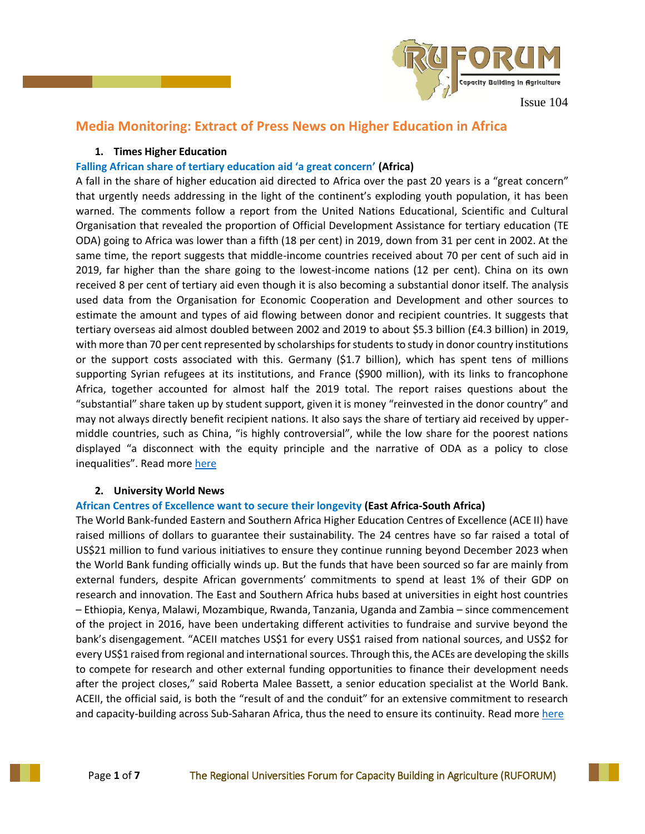

# **Media Monitoring: Extract of Press News on Higher Education in Africa**

## **1. Times Higher Education**

# **Falling African share of tertiary education aid 'a great concern' (Africa)**

A fall in the share of higher education aid directed to Africa over the past 20 years is a "great concern" that urgently needs addressing in the light of the continent's exploding youth population, it has been warned. The comments follow a report from the United Nations Educational, Scientific and Cultural Organisation that revealed the proportion of Official Development Assistance for tertiary education (TE ODA) going to Africa was lower than a fifth (18 per cent) in 2019, down from 31 per cent in 2002. At the same time, the report suggests that middle-income countries received about 70 per cent of such aid in 2019, far higher than the share going to the lowest-income nations (12 per cent). China on its own received 8 per cent of tertiary aid even though it is also becoming a substantial donor itself. The analysis used data from the Organisation for Economic Cooperation and Development and other sources to estimate the amount and types of aid flowing between donor and recipient countries. It suggests that tertiary overseas aid almost doubled between 2002 and 2019 to about \$5.3 billion (£4.3 billion) in 2019, with more than 70 per cent represented by scholarships for students to study in donor country institutions or the support costs associated with this. Germany (\$1.7 billion), which has spent tens of millions supporting Syrian refugees at its institutions, and France (\$900 million), with its links to francophone Africa, together accounted for almost half the 2019 total. The report raises questions about the "substantial" share taken up by student support, given it is money "reinvested in the donor country" and may not always directly benefit recipient nations. It also says the share of tertiary aid received by uppermiddle countries, such as China, "is highly controversial", while the low share for the poorest nations displayed "a disconnect with the equity principle and the narrative of ODA as a policy to close inequalities". Read more [here](https://www.timeshighereducation.com/news/falling-african-share-tertiary-education-aid-great-concern)

### **2. University World News**

# **African Centres of Excellence want to secure their longevity (East Africa-South Africa)**

The World Bank-funded Eastern and Southern Africa Higher Education Centres of Excellence (ACE II) have raised millions of dollars to guarantee their sustainability. The 24 centres have so far raised a total of US\$21 million to fund various initiatives to ensure they continue running beyond December 2023 when the World Bank funding officially winds up. But the funds that have been sourced so far are mainly from external funders, despite African governments' commitments to spend at least 1% of their GDP on research and innovation. The East and Southern Africa hubs based at universities in eight host countries – Ethiopia, Kenya, Malawi, Mozambique, Rwanda, Tanzania, Uganda and Zambia – since commencement of the project in 2016, have been undertaking different activities to fundraise and survive beyond the bank's disengagement. "ACEII matches US\$1 for every US\$1 raised from national sources, and US\$2 for every US\$1 raised from regional and international sources. Through this, the ACEs are developing the skills to compete for research and other external funding opportunities to finance their development needs after the project closes," said Roberta Malee Bassett, a senior education specialist at the World Bank. ACEII, the official said, is both the "result of and the conduit" for an extensive commitment to research and capacity-building across Sub-Saharan Africa, thus the need to ensure its continuity. Read more [here](https://www.universityworldnews.com/post.php?story=2022060813434745)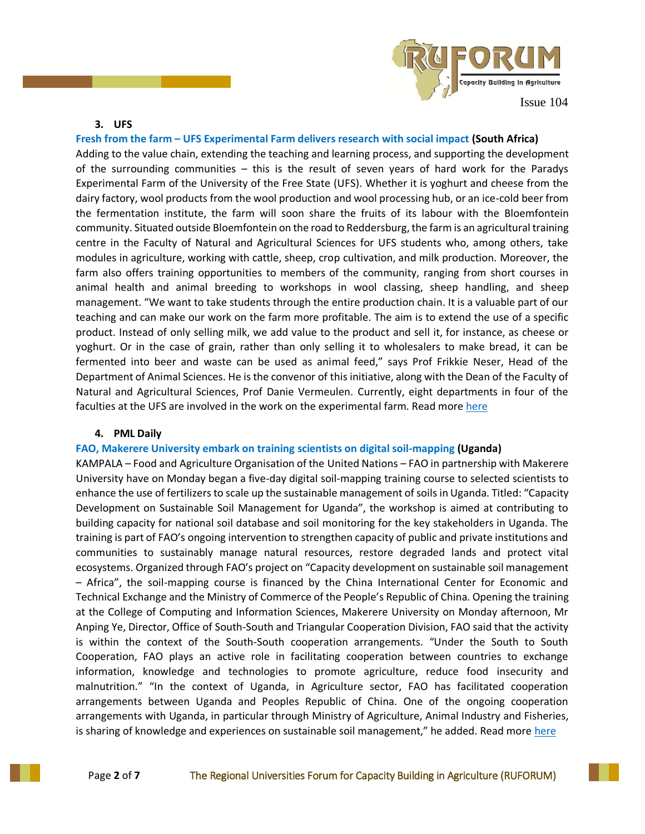

#### **3. UFS**

# **Fresh from the farm – UFS Experimental Farm delivers research with social impact (South Africa)**

Adding to the value chain, extending the teaching and learning process, and supporting the development of the surrounding communities – this is the result of seven years of hard work for the Paradys Experimental Farm of the University of the Free State (UFS). Whether it is yoghurt and cheese from the dairy factory, wool products from the wool production and wool processing hub, or an ice-cold beer from the fermentation institute, the farm will soon share the fruits of its labour with the Bloemfontein community. Situated outside Bloemfontein on the road to Reddersburg, the farm is an agricultural training centre in the Faculty of Natural and Agricultural Sciences for UFS students who, among others, take modules in agriculture, working with cattle, sheep, crop cultivation, and milk production. Moreover, the farm also offers training opportunities to members of the community, ranging from short courses in animal health and animal breeding to workshops in wool classing, sheep handling, and sheep management. "We want to take students through the entire production chain. It is a valuable part of our teaching and can make our work on the farm more profitable. The aim is to extend the use of a specific product. Instead of only selling milk, we add value to the product and sell it, for instance, as cheese or yoghurt. Or in the case of grain, rather than only selling it to wholesalers to make bread, it can be fermented into beer and waste can be used as animal feed," says Prof Frikkie Neser, Head of the Department of Animal Sciences. He is the convenor of this initiative, along with the Dean of the Faculty of Natural and Agricultural Sciences, Prof Danie Vermeulen. Currently, eight departments in four of the faculties at the UFS are involved in the work on the experimental farm. Read mor[e here](https://www.ufs.ac.za/templates/news-archive-item-more/campus-news/2022/june/fresh-from-the-farm-ufs-experimental-farm-delivers-research-with-social-impact)

#### **4. PML Daily**

#### **FAO, Makerere University embark on training scientists on digital soil-mapping (Uganda)**

KAMPALA – Food and Agriculture Organisation of the United Nations – FAO in partnership with Makerere University have on Monday began a five-day digital soil-mapping training course to selected scientists to enhance the use of fertilizers to scale up the sustainable management of soils in Uganda. Titled: "Capacity Development on Sustainable Soil Management for Uganda", the workshop is aimed at contributing to building capacity for national soil database and soil monitoring for the key stakeholders in Uganda. The training is part of FAO's ongoing intervention to strengthen capacity of public and private institutions and communities to sustainably manage natural resources, restore degraded lands and protect vital ecosystems. Organized through FAO's project on "Capacity development on sustainable soil management – Africa", the soil-mapping course is financed by the China International Center for Economic and Technical Exchange and the Ministry of Commerce of the People's Republic of China. Opening the training at the College of Computing and Information Sciences, Makerere University on Monday afternoon, Mr Anping Ye, Director, Office of South-South and Triangular Cooperation Division, FAO said that the activity is within the context of the South-South cooperation arrangements. "Under the South to South Cooperation, FAO plays an active role in facilitating cooperation between countries to exchange information, knowledge and technologies to promote agriculture, reduce food insecurity and malnutrition." "In the context of Uganda, in Agriculture sector, FAO has facilitated cooperation arrangements between Uganda and Peoples Republic of China. One of the ongoing cooperation arrangements with Uganda, in particular through Ministry of Agriculture, Animal Industry and Fisheries, is sharing of knowledge and experiences on sustainable soil management," he added. Read more [here](https://www.pmldaily.com/business/agriculture/2022/06/fao-makerere-university-embark-on-training-scientists-on-digital-soil-mapping.html)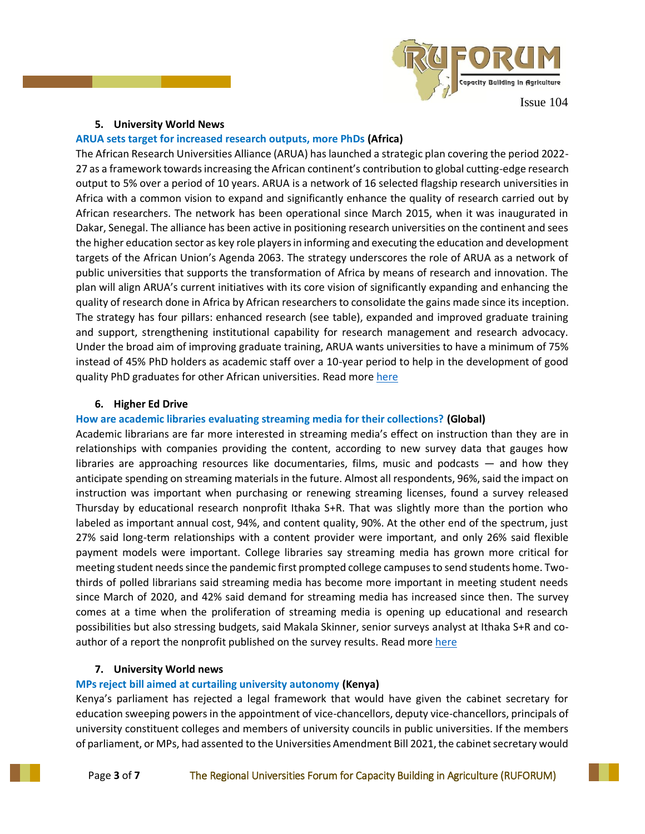

#### **5. University World News**

#### **ARUA sets target for increased research outputs, more PhDs (Africa)**

The African Research Universities Alliance (ARUA) has launched a strategic plan covering the period 2022- 27 as a framework towards increasing the African continent's contribution to global cutting-edge research output to 5% over a period of 10 years. ARUA is a network of 16 selected flagship research universities in Africa with a common vision to expand and significantly enhance the quality of research carried out by African researchers. The network has been operational since March 2015, when it was inaugurated in Dakar, Senegal. The alliance has been active in positioning research universities on the continent and sees the higher education sector as key role players in informing and executing the education and development targets of the African Union's Agenda 2063. The strategy underscores the role of ARUA as a network of public universities that supports the transformation of Africa by means of research and innovation. The plan will align ARUA's current initiatives with its core vision of significantly expanding and enhancing the quality of research done in Africa by African researchers to consolidate the gains made since its inception. The strategy has four pillars: enhanced research (see table), expanded and improved graduate training and support, strengthening institutional capability for research management and research advocacy. Under the broad aim of improving graduate training, ARUA wants universities to have a minimum of 75% instead of 45% PhD holders as academic staff over a 10-year period to help in the development of good quality PhD graduates for other African universities. Read mor[e here](https://www.universityworldnews.com/post.php?story=20220608191209159)

#### **6. Higher Ed Drive**

#### **How are academic libraries evaluating streaming media for their collections? (Global)**

Academic librarians are far more interested in streaming media's effect on instruction than they are in relationships with companies providing the content, according to new survey data that gauges how libraries are approaching resources like documentaries, films, music and podcasts — and how they anticipate spending on streaming materials in the future. Almost all respondents, 96%, said the impact on instruction was important when purchasing or renewing streaming licenses, found a survey released Thursday by educational research nonprofit Ithaka S+R. That was slightly more than the portion who labeled as important annual cost, 94%, and content quality, 90%. At the other end of the spectrum, just 27% said long-term relationships with a content provider were important, and only 26% said flexible payment models were important. College libraries say streaming media has grown more critical for meeting student needs since the pandemic first prompted college campuses to send students home. Twothirds of polled librarians said streaming media has become more important in meeting student needs since March of 2020, and 42% said demand for streaming media has increased since then. The survey comes at a time when the proliferation of streaming media is opening up educational and research possibilities but also stressing budgets, said Makala Skinner, senior surveys analyst at Ithaka S+R and coauthor of a report the nonprofit published on the survey results. Read mor[e here](https://www.highereddive.com/news/how-are-academic-libraries-evaluating-streaming-media-for-their-collections/625155/)

### **7. University World news**

### **MPs reject bill aimed at curtailing university autonomy (Kenya)**

Kenya's parliament has rejected a legal framework that would have given the cabinet secretary for education sweeping powers in the appointment of vice-chancellors, deputy vice-chancellors, principals of university constituent colleges and members of university councils in public universities. If the members of parliament, or MPs, had assented to the Universities Amendment Bill 2021, the cabinet secretary would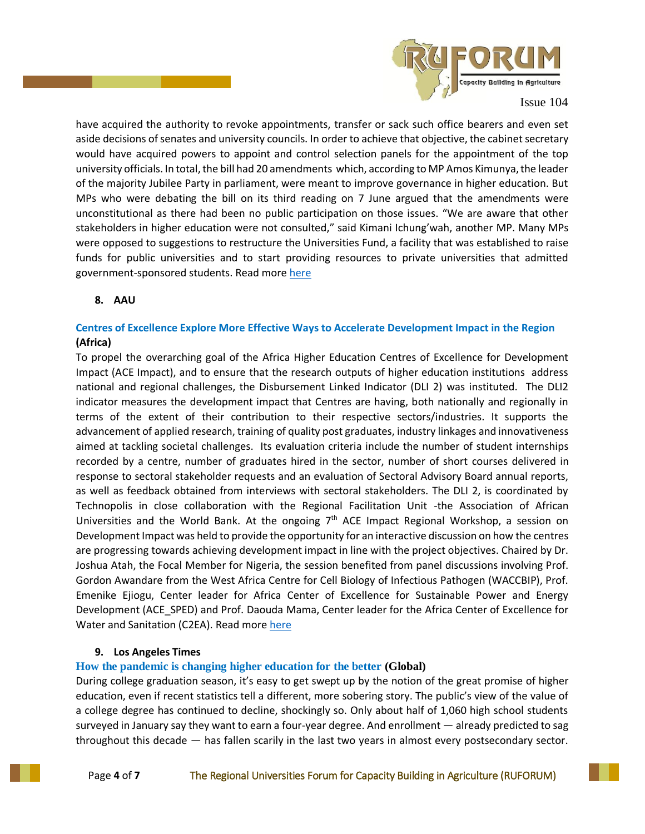

have acquired the authority to revoke appointments, transfer or sack such office bearers and even set aside decisions of senates and university councils. In order to achieve that objective, the cabinet secretary would have acquired powers to appoint and control selection panels for the appointment of the top university officials. In total, the bill had 20 amendments which, according to MP Amos Kimunya, the leader of the majority Jubilee Party in parliament, were meant to improve governance in higher education. But MPs who were debating the bill on its third reading on 7 June argued that the amendments were unconstitutional as there had been no public participation on those issues. "We are aware that other stakeholders in higher education were not consulted," said Kimani Ichung'wah, another MP. Many MPs were opposed to suggestions to restructure the Universities Fund, a facility that was established to raise funds for public universities and to start providing resources to private universities that admitted government-sponsored students. Read more [here](https://www.universityworldnews.com/post.php?story=20220614092839317)

### **8. AAU**

# **Centres of Excellence Explore More Effective Ways to Accelerate Development Impact in the Region (Africa)**

To propel the overarching goal of the Africa Higher Education Centres of Excellence for Development Impact (ACE Impact), and to ensure that the research outputs of higher education institutions address national and regional challenges, the Disbursement Linked Indicator (DLI 2) was instituted. The DLI2 indicator measures the development impact that Centres are having, both nationally and regionally in terms of the extent of their contribution to their respective sectors/industries. It supports the advancement of applied research, training of quality post graduates, industry linkages and innovativeness aimed at tackling societal challenges. Its evaluation criteria include the number of student internships recorded by a centre, number of graduates hired in the sector, number of short courses delivered in response to sectoral stakeholder requests and an evaluation of Sectoral Advisory Board annual reports, as well as feedback obtained from interviews with sectoral stakeholders. The DLI 2, is coordinated by Technopolis in close collaboration with the Regional Facilitation Unit -the Association of African Universities and the World Bank. At the ongoing  $7<sup>th</sup>$  ACE Impact Regional Workshop, a session on Development Impact was held to provide the opportunity for an interactive discussion on how the centres are progressing towards achieving development impact in line with the project objectives. Chaired by Dr. Joshua Atah, the Focal Member for Nigeria, the session benefited from panel discussions involving Prof. Gordon Awandare from the West Africa Centre for Cell Biology of Infectious Pathogen (WACCBIP), Prof. Emenike Ejiogu, Center leader for Africa Center of Excellence for Sustainable Power and Energy Development (ACE\_SPED) and Prof. Daouda Mama, Center leader for the Africa Center of Excellence for Water and Sanitation (C2EA). Read more [here](https://blog.aau.org/centres-of-excellence-explore-more-effective-ways-to-accelerate-development-impact-in-the-region/?_ga=2.209618833.282665891.1655361885-1343643093.1655361885)

### **9. Los Angeles Times**

### **How the pandemic is changing higher education for the better (Global)**

During college graduation season, it's easy to get swept up by the notion of the great promise of higher education, even if recent statistics tell a different, more sobering story. The public's view of the value of a college degree has continued to decline, shockingly so. Only about half of 1,060 high school students surveyed in January say they want to earn a four-year degree. And enrollment — already predicted to sag throughout this decade — has fallen scarily in the last two years in almost every postsecondary sector.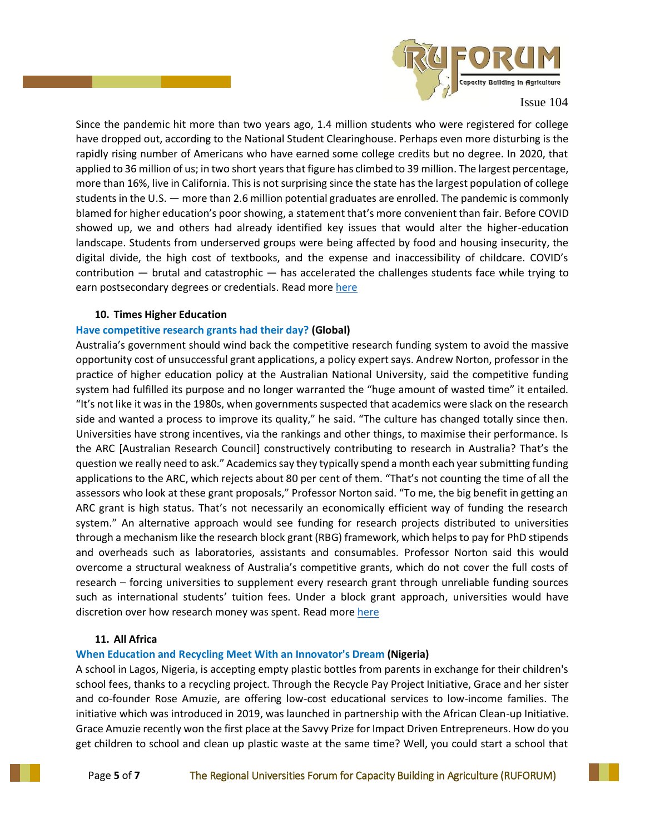

Since the pandemic hit more than two years ago, 1.4 million students who were registered for college have dropped out, according to the National Student Clearinghouse. Perhaps even more disturbing is the rapidly rising number of Americans who have earned some college credits but no degree. In 2020, that applied to 36 million of us; in two short years that figure has climbed to 39 million. The largest percentage, more than 16%, live in California. This is not surprising since the state has the largest population of college students in the U.S. — more than 2.6 million potential graduates are enrolled. The pandemic is commonly blamed for higher education's poor showing, a statement that's more convenient than fair. Before COVID showed up, we and others had already identified key issues that would alter the higher-education landscape. Students from underserved groups were being affected by food and housing insecurity, the digital divide, the high cost of textbooks, and the expense and inaccessibility of childcare. COVID's contribution — brutal and catastrophic — has accelerated the challenges students face while trying to earn postsecondary degrees or credentials. Read more [here](https://www.latimes.com/opinion/story/2022-06-12/college-pandemic-changing-declining-enrollment?_amp=true)

#### **10. Times Higher Education**

### **Have competitive research grants had their day? (Global)**

Australia's government should wind back the competitive research funding system to avoid the massive opportunity cost of unsuccessful grant applications, a policy expert says. Andrew Norton, professor in the practice of higher education policy at the Australian National University, said the competitive funding system had fulfilled its purpose and no longer warranted the "huge amount of wasted time" it entailed. "It's not like it was in the 1980s, when governments suspected that academics were slack on the research side and wanted a process to improve its quality," he said. "The culture has changed totally since then. Universities have strong incentives, via the rankings and other things, to maximise their performance. Is the ARC [Australian Research Council] constructively contributing to research in Australia? That's the question we really need to ask." Academics say they typically spend a month each year submitting funding applications to the ARC, which rejects about 80 per cent of them. "That's not counting the time of all the assessors who look at these grant proposals," Professor Norton said. "To me, the big benefit in getting an ARC grant is high status. That's not necessarily an economically efficient way of funding the research system." An alternative approach would see funding for research projects distributed to universities through a mechanism like the research block grant (RBG) framework, which helps to pay for PhD stipends and overheads such as laboratories, assistants and consumables. Professor Norton said this would overcome a structural weakness of Australia's competitive grants, which do not cover the full costs of research – forcing universities to supplement every research grant through unreliable funding sources such as international students' tuition fees. Under a block grant approach, universities would have discretion over how research money was spent. Read mor[e here](https://www.timeshighereducation.com/news/have-competitive-research-grants-had-their-day)

### **11. All Africa**

### **When Education and Recycling Meet With an Innovator's Dream (Nigeria)**

A school in Lagos, Nigeria, is accepting empty plastic bottles from parents in exchange for their children's school fees, thanks to a recycling project. Through the Recycle Pay Project Initiative, Grace and her sister and co-founder Rose Amuzie, are offering low-cost educational services to low-income families. The initiative which was introduced in 2019, was launched in partnership with the African Clean-up Initiative. Grace Amuzie recently won the first place at the Savvy Prize for Impact Driven Entrepreneurs. How do you get children to school and clean up plastic waste at the same time? Well, you could start a school that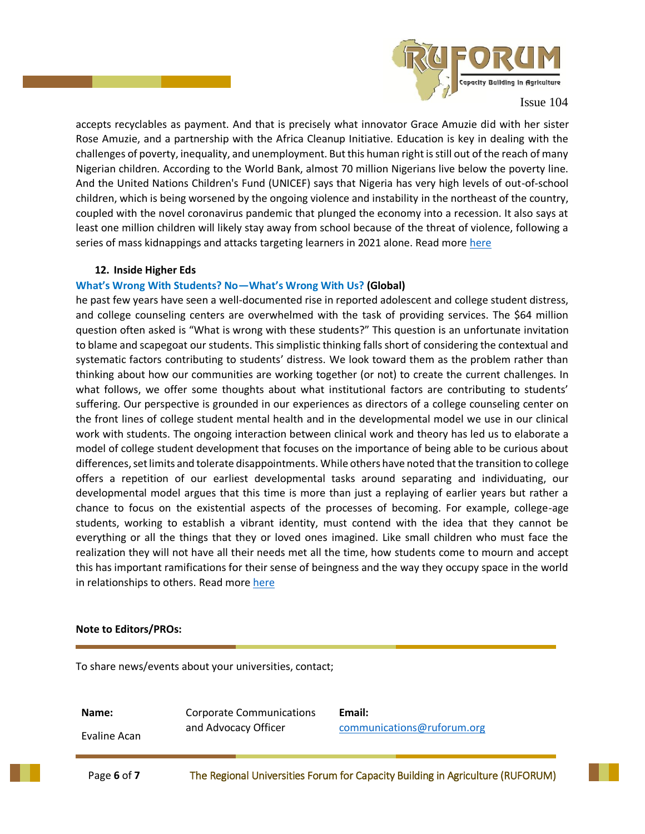

accepts recyclables as payment. And that is precisely what innovator Grace Amuzie did with her sister Rose Amuzie, and a partnership with the Africa Cleanup Initiative. Education is key in dealing with the challenges of poverty, inequality, and unemployment. But this human right is still out of the reach of many Nigerian children. According to the World Bank, almost 70 million Nigerians live below the poverty line. And the United Nations Children's Fund (UNICEF) says that Nigeria has very high levels of out-of-school children, which is being worsened by the ongoing violence and instability in the northeast of the country, coupled with the novel coronavirus pandemic that plunged the economy into a recession. It also says at least one million children will likely stay away from school because of the threat of violence, following a series of mass kidnappings and attacks targeting learners in 2021 alone. Read more [here](https://allafrica.com/stories/202205240054.html)

#### **12. Inside Higher Eds**

#### **What's Wrong With Students? No—What's Wrong With Us? (Global)**

he past few years have seen a well-documented rise in reported adolescent and college student distress, and college counseling centers are overwhelmed with the task of providing services. The \$64 million question often asked is "What is wrong with these students?" This question is an unfortunate invitation to blame and scapegoat our students. This simplistic thinking falls short of considering the contextual and systematic factors contributing to students' distress. We look toward them as the problem rather than thinking about how our communities are working together (or not) to create the current challenges. In what follows, we offer some thoughts about what institutional factors are contributing to students' suffering. Our perspective is grounded in our experiences as directors of a college counseling center on the front lines of college student mental health and in the developmental model we use in our clinical work with students. The ongoing interaction between clinical work and theory has led us to elaborate a model of college student development that focuses on the importance of being able to be curious about differences, set limits and tolerate disappointments. While others have noted that the transition to college offers a repetition of our earliest developmental tasks around separating and individuating, our developmental model argues that this time is more than just a replaying of earlier years but rather a chance to focus on the existential aspects of the processes of becoming. For example, college-age students, working to establish a vibrant identity, must contend with the idea that they cannot be everything or all the things that they or loved ones imagined. Like small children who must face the realization they will not have all their needs met all the time, how students come to mourn and accept this has important ramifications for their sense of beingness and the way they occupy space in the world in relationships to others. Read more [here](https://www.insidehighered.com/views/2022/06/16/institutional-factors-exacerbate-student-distress-opinion)

#### **Note to Editors/PROs:**

To share news/events about your universities, contact;

**Name:** Evaline Acan Corporate Communications and Advocacy Officer **Email:**  [communications@ruforum.org](mailto:communications@ruforum.org)